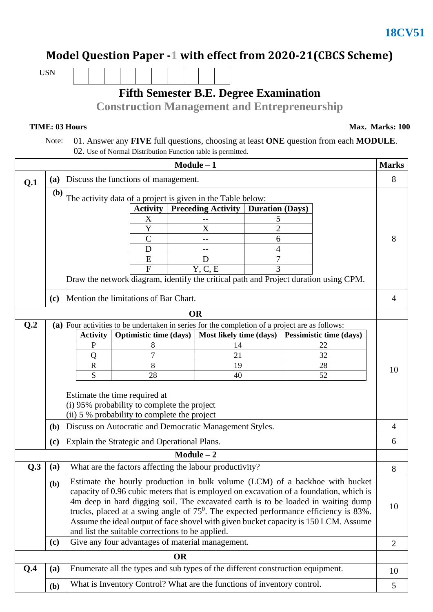## **Model Question Paper -1 with effect from 2020-21(CBCS Scheme)**

USN

## **Fifth Semester B.E. Degree Examination**

**Construction Management and Entrepreneurship**

**TIME: 03 Hours Max. Marks: 100** 

 Note: 01. Answer any **FIVE** full questions, choosing at least **ONE** question from each **MODULE**. 02. Use of Normal Distribution Function table is permitted.

|                                              | $Module - 1$                                                                                                                                                                                                                                             |                                                                                                                                                                                                                                                                                                                                                                                                                                                                                                                                                                                                                   |                               |                                                    |                        |  | <b>Marks</b> |                |
|----------------------------------------------|----------------------------------------------------------------------------------------------------------------------------------------------------------------------------------------------------------------------------------------------------------|-------------------------------------------------------------------------------------------------------------------------------------------------------------------------------------------------------------------------------------------------------------------------------------------------------------------------------------------------------------------------------------------------------------------------------------------------------------------------------------------------------------------------------------------------------------------------------------------------------------------|-------------------------------|----------------------------------------------------|------------------------|--|--------------|----------------|
| Q.1                                          | <b>(a)</b>                                                                                                                                                                                                                                               | Discuss the functions of management.                                                                                                                                                                                                                                                                                                                                                                                                                                                                                                                                                                              |                               |                                                    |                        |  |              |                |
|                                              | (b)<br>The activity data of a project is given in the Table below:                                                                                                                                                                                       |                                                                                                                                                                                                                                                                                                                                                                                                                                                                                                                                                                                                                   |                               |                                                    |                        |  |              |                |
|                                              |                                                                                                                                                                                                                                                          |                                                                                                                                                                                                                                                                                                                                                                                                                                                                                                                                                                                                                   | <b>Activity</b>               | <b>Preceding Activity</b>                          | <b>Duration (Days)</b> |  |              |                |
|                                              |                                                                                                                                                                                                                                                          |                                                                                                                                                                                                                                                                                                                                                                                                                                                                                                                                                                                                                   | X                             |                                                    | 5                      |  |              |                |
|                                              |                                                                                                                                                                                                                                                          |                                                                                                                                                                                                                                                                                                                                                                                                                                                                                                                                                                                                                   | Y                             | X                                                  | $\overline{2}$         |  |              |                |
|                                              |                                                                                                                                                                                                                                                          |                                                                                                                                                                                                                                                                                                                                                                                                                                                                                                                                                                                                                   | $\mathsf C$                   |                                                    | 6                      |  |              | 8              |
|                                              |                                                                                                                                                                                                                                                          |                                                                                                                                                                                                                                                                                                                                                                                                                                                                                                                                                                                                                   | D<br>E                        | --<br>D                                            | 4<br>7                 |  |              |                |
|                                              |                                                                                                                                                                                                                                                          |                                                                                                                                                                                                                                                                                                                                                                                                                                                                                                                                                                                                                   | $\overline{F}$                | Y, C, E                                            | 3                      |  |              |                |
|                                              |                                                                                                                                                                                                                                                          | Draw the network diagram, identify the critical path and Project duration using CPM.                                                                                                                                                                                                                                                                                                                                                                                                                                                                                                                              |                               |                                                    |                        |  |              |                |
| Mention the limitations of Bar Chart.<br>(c) |                                                                                                                                                                                                                                                          |                                                                                                                                                                                                                                                                                                                                                                                                                                                                                                                                                                                                                   |                               |                                                    |                        |  |              | 4              |
|                                              |                                                                                                                                                                                                                                                          |                                                                                                                                                                                                                                                                                                                                                                                                                                                                                                                                                                                                                   |                               | <b>OR</b>                                          |                        |  |              |                |
| Q.2                                          | (a) Four activities to be undertaken in series for the completion of a project are as follows:                                                                                                                                                           |                                                                                                                                                                                                                                                                                                                                                                                                                                                                                                                                                                                                                   |                               |                                                    |                        |  |              |                |
|                                              |                                                                                                                                                                                                                                                          | <b>Activity</b>                                                                                                                                                                                                                                                                                                                                                                                                                                                                                                                                                                                                   | <b>Optimistic time (days)</b> | Most likely time (days)<br>Pessimistic time (days) |                        |  |              |                |
|                                              |                                                                                                                                                                                                                                                          | P                                                                                                                                                                                                                                                                                                                                                                                                                                                                                                                                                                                                                 | 8                             | 14                                                 |                        |  | 22           |                |
|                                              |                                                                                                                                                                                                                                                          | Q                                                                                                                                                                                                                                                                                                                                                                                                                                                                                                                                                                                                                 | 7                             | 21<br>19                                           |                        |  | 32           | 10             |
|                                              |                                                                                                                                                                                                                                                          | $\mathbf R$                                                                                                                                                                                                                                                                                                                                                                                                                                                                                                                                                                                                       | 8                             |                                                    |                        |  | 28           |                |
|                                              |                                                                                                                                                                                                                                                          | S                                                                                                                                                                                                                                                                                                                                                                                                                                                                                                                                                                                                                 | 28                            | 40                                                 |                        |  | 52           |                |
|                                              | Estimate the time required at<br>$(i)$ 95% probability to complete the project<br>$(i)$ 5 % probability to complete the project<br>Discuss on Autocratic and Democratic Management Styles.<br>(b)<br>Explain the Strategic and Operational Plans.<br>(c) |                                                                                                                                                                                                                                                                                                                                                                                                                                                                                                                                                                                                                   |                               |                                                    |                        |  |              |                |
|                                              |                                                                                                                                                                                                                                                          |                                                                                                                                                                                                                                                                                                                                                                                                                                                                                                                                                                                                                   |                               |                                                    |                        |  |              | 4              |
|                                              |                                                                                                                                                                                                                                                          |                                                                                                                                                                                                                                                                                                                                                                                                                                                                                                                                                                                                                   |                               |                                                    |                        |  |              | 6              |
|                                              |                                                                                                                                                                                                                                                          |                                                                                                                                                                                                                                                                                                                                                                                                                                                                                                                                                                                                                   |                               | $Module - 2$                                       |                        |  |              |                |
| Q.3                                          | (a)                                                                                                                                                                                                                                                      | What are the factors affecting the labour productivity?<br>Estimate the hourly production in bulk volume (LCM) of a backhoe with bucket<br>capacity of 0.96 cubic meters that is employed on excavation of a foundation, which is<br>4m deep in hard digging soil. The excavated earth is to be loaded in waiting dump<br>trucks, placed at a swing angle of $75^0$ . The expected performance efficiency is 83%.<br>Assume the ideal output of face shovel with given bucket capacity is 150 LCM. Assume<br>and list the suitable corrections to be applied.<br>Give any four advantages of material management. |                               |                                                    |                        |  |              | 8              |
|                                              | ( <b>b</b> )                                                                                                                                                                                                                                             |                                                                                                                                                                                                                                                                                                                                                                                                                                                                                                                                                                                                                   |                               |                                                    |                        |  |              | 10             |
|                                              | (c)                                                                                                                                                                                                                                                      |                                                                                                                                                                                                                                                                                                                                                                                                                                                                                                                                                                                                                   |                               |                                                    |                        |  |              | $\overline{2}$ |
|                                              | <b>OR</b>                                                                                                                                                                                                                                                |                                                                                                                                                                                                                                                                                                                                                                                                                                                                                                                                                                                                                   |                               |                                                    |                        |  |              |                |
| Q.4                                          | (a)                                                                                                                                                                                                                                                      | Enumerate all the types and sub types of the different construction equipment.<br>What is Inventory Control? What are the functions of inventory control.                                                                                                                                                                                                                                                                                                                                                                                                                                                         |                               |                                                    |                        |  |              | 10             |
|                                              | (b)                                                                                                                                                                                                                                                      |                                                                                                                                                                                                                                                                                                                                                                                                                                                                                                                                                                                                                   |                               |                                                    |                        |  | 5            |                |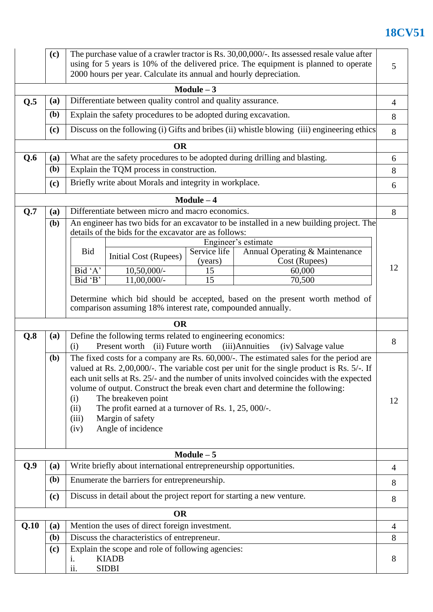## **18CV51**

|                                                                                                                                      | (c)                                                                                                                                                          | The purchase value of a crawler tractor is Rs. 30,00,000/-. Its assessed resale value after<br>using for 5 years is 10% of the delivered price. The equipment is planned to operate<br>2000 hours per year. Calculate its annual and hourly depreciation.                                                                                                                                                                                                                                                                  |                                  |                         |                                                 |    |  |  |
|--------------------------------------------------------------------------------------------------------------------------------------|--------------------------------------------------------------------------------------------------------------------------------------------------------------|----------------------------------------------------------------------------------------------------------------------------------------------------------------------------------------------------------------------------------------------------------------------------------------------------------------------------------------------------------------------------------------------------------------------------------------------------------------------------------------------------------------------------|----------------------------------|-------------------------|-------------------------------------------------|----|--|--|
| $Module - 3$                                                                                                                         |                                                                                                                                                              |                                                                                                                                                                                                                                                                                                                                                                                                                                                                                                                            |                                  |                         |                                                 |    |  |  |
| Q.5                                                                                                                                  | Differentiate between quality control and quality assurance.<br>(a)<br>(b)<br>Explain the safety procedures to be adopted during excavation.                 |                                                                                                                                                                                                                                                                                                                                                                                                                                                                                                                            |                                  |                         |                                                 |    |  |  |
|                                                                                                                                      |                                                                                                                                                              |                                                                                                                                                                                                                                                                                                                                                                                                                                                                                                                            |                                  |                         |                                                 |    |  |  |
|                                                                                                                                      | (c)                                                                                                                                                          | Discuss on the following (i) Gifts and bribes (ii) whistle blowing (iii) engineering ethics                                                                                                                                                                                                                                                                                                                                                                                                                                |                                  |                         |                                                 |    |  |  |
| <b>OR</b>                                                                                                                            |                                                                                                                                                              |                                                                                                                                                                                                                                                                                                                                                                                                                                                                                                                            |                                  |                         |                                                 |    |  |  |
| Q.6                                                                                                                                  | (a)                                                                                                                                                          | What are the safety procedures to be adopted during drilling and blasting.                                                                                                                                                                                                                                                                                                                                                                                                                                                 |                                  |                         |                                                 |    |  |  |
|                                                                                                                                      | (b)                                                                                                                                                          | Explain the TQM process in construction.                                                                                                                                                                                                                                                                                                                                                                                                                                                                                   |                                  |                         |                                                 |    |  |  |
|                                                                                                                                      | Briefly write about Morals and integrity in workplace.<br>(c)                                                                                                |                                                                                                                                                                                                                                                                                                                                                                                                                                                                                                                            |                                  |                         |                                                 | 6  |  |  |
|                                                                                                                                      |                                                                                                                                                              |                                                                                                                                                                                                                                                                                                                                                                                                                                                                                                                            |                                  | $Module - 4$            |                                                 |    |  |  |
| Q.7                                                                                                                                  | (a)                                                                                                                                                          | Differentiate between micro and macro economics.                                                                                                                                                                                                                                                                                                                                                                                                                                                                           |                                  |                         |                                                 |    |  |  |
|                                                                                                                                      | (b)                                                                                                                                                          | An engineer has two bids for an excavator to be installed in a new building project. The<br>details of the bids for the excavator are as follows:<br>Engineer's estimate                                                                                                                                                                                                                                                                                                                                                   |                                  |                         |                                                 |    |  |  |
|                                                                                                                                      |                                                                                                                                                              | <b>Bid</b>                                                                                                                                                                                                                                                                                                                                                                                                                                                                                                                 | Initial Cost (Rupees)            | Service life<br>(years) | Annual Operating & Maintenance<br>Cost (Rupees) | 12 |  |  |
|                                                                                                                                      |                                                                                                                                                              | Bid 'A'<br>Bid 'B'                                                                                                                                                                                                                                                                                                                                                                                                                                                                                                         | $10,50,000/$ -<br>$11,00,000/$ - | 15<br>15                | 60,000<br>70,500                                |    |  |  |
|                                                                                                                                      | Determine which bid should be accepted, based on the present worth method of<br>comparison assuming 18% interest rate, compounded annually.<br><b>OR</b>     |                                                                                                                                                                                                                                                                                                                                                                                                                                                                                                                            |                                  |                         |                                                 |    |  |  |
| Q.8                                                                                                                                  | Define the following terms related to engineering economics:<br>(a)<br>(ii) Future worth<br>(iii) Annuities<br>Present worth<br>(i)<br>(iv) Salvage value    |                                                                                                                                                                                                                                                                                                                                                                                                                                                                                                                            |                                  |                         |                                                 | 8  |  |  |
|                                                                                                                                      | (b)                                                                                                                                                          | The fixed costs for a company are Rs. 60,000/-. The estimated sales for the period are<br>valued at Rs. 2,00,000/-. The variable cost per unit for the single product is Rs. 5/-. If<br>each unit sells at Rs. 25/- and the number of units involved coincides with the expected<br>volume of output. Construct the break even chart and determine the following:<br>The breakeven point<br>(i)<br>The profit earned at a turnover of Rs. 1, 25, 000/-.<br>(ii)<br>Margin of safety<br>(iii)<br>Angle of incidence<br>(iv) |                                  |                         |                                                 |    |  |  |
|                                                                                                                                      |                                                                                                                                                              |                                                                                                                                                                                                                                                                                                                                                                                                                                                                                                                            |                                  | $Module - 5$            |                                                 |    |  |  |
| Q.9                                                                                                                                  | (a)                                                                                                                                                          | Write briefly about international entrepreneurship opportunities.                                                                                                                                                                                                                                                                                                                                                                                                                                                          |                                  |                         |                                                 |    |  |  |
| (b)<br>Enumerate the barriers for entrepreneurship.<br>Discuss in detail about the project report for starting a new venture.<br>(c) |                                                                                                                                                              |                                                                                                                                                                                                                                                                                                                                                                                                                                                                                                                            |                                  |                         |                                                 | 8  |  |  |
|                                                                                                                                      |                                                                                                                                                              |                                                                                                                                                                                                                                                                                                                                                                                                                                                                                                                            |                                  |                         |                                                 | 8  |  |  |
| <b>OR</b>                                                                                                                            |                                                                                                                                                              |                                                                                                                                                                                                                                                                                                                                                                                                                                                                                                                            |                                  |                         |                                                 |    |  |  |
| Q.10                                                                                                                                 | Mention the uses of direct foreign investment.<br>(a)                                                                                                        |                                                                                                                                                                                                                                                                                                                                                                                                                                                                                                                            |                                  |                         |                                                 | 4  |  |  |
|                                                                                                                                      | Discuss the characteristics of entrepreneur.<br>(b)<br>Explain the scope and role of following agencies:<br>(c)<br><b>KIADB</b><br>1.<br>ii.<br><b>SIDBI</b> |                                                                                                                                                                                                                                                                                                                                                                                                                                                                                                                            |                                  |                         |                                                 | 8  |  |  |
|                                                                                                                                      |                                                                                                                                                              |                                                                                                                                                                                                                                                                                                                                                                                                                                                                                                                            |                                  |                         |                                                 | 8  |  |  |